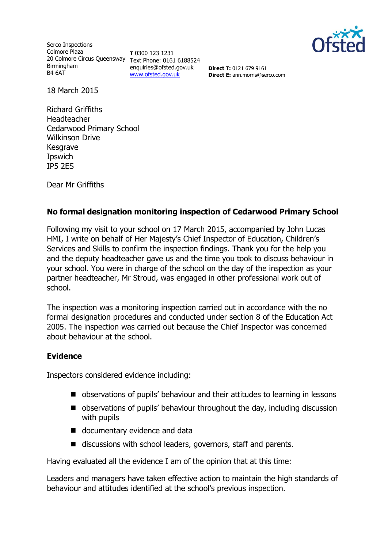

Serco Inspections Colmore Plaza 20 Colmore Circus Queensway Text Phone: 0161 6188524 Birmingham B4 6AT

**T** 0300 123 1231 enquiries@ofsted.gov.uk [www.ofsted.gov.uk](http://www.ofsted.gov.uk/)

**Direct T:** 0121 679 9161 **Direct E:** ann.morris@serco.com

18 March 2015

Richard Griffiths Headteacher Cedarwood Primary School Wilkinson Drive Kesgrave Ipswich IP5 2ES

Dear Mr Griffiths

### **No formal designation monitoring inspection of Cedarwood Primary School**

Following my visit to your school on 17 March 2015, accompanied by John Lucas HMI, I write on behalf of Her Majesty's Chief Inspector of Education, Children's Services and Skills to confirm the inspection findings. Thank you for the help you and the deputy headteacher gave us and the time you took to discuss behaviour in your school. You were in charge of the school on the day of the inspection as your partner headteacher, Mr Stroud, was engaged in other professional work out of school.

The inspection was a monitoring inspection carried out in accordance with the no formal designation procedures and conducted under section 8 of the Education Act 2005. The inspection was carried out because the Chief Inspector was concerned about behaviour at the school.

### **Evidence**

Inspectors considered evidence including:

- observations of pupils' behaviour and their attitudes to learning in lessons
- observations of pupils' behaviour throughout the day, including discussion with pupils
- documentary evidence and data
- discussions with school leaders, governors, staff and parents.

Having evaluated all the evidence I am of the opinion that at this time:

Leaders and managers have taken effective action to maintain the high standards of behaviour and attitudes identified at the school's previous inspection.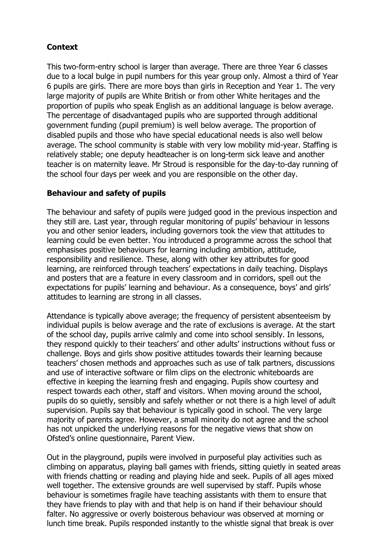# **Context**

This two-form-entry school is larger than average. There are three Year 6 classes due to a local bulge in pupil numbers for this year group only. Almost a third of Year 6 pupils are girls. There are more boys than girls in Reception and Year 1. The very large majority of pupils are White British or from other White heritages and the proportion of pupils who speak English as an additional language is below average. The percentage of disadvantaged pupils who are supported through additional government funding (pupil premium) is well below average. The proportion of disabled pupils and those who have special educational needs is also well below average. The school community is stable with very low mobility mid-year. Staffing is relatively stable; one deputy headteacher is on long-term sick leave and another teacher is on maternity leave. Mr Stroud is responsible for the day-to-day running of the school four days per week and you are responsible on the other day.

## **Behaviour and safety of pupils**

The behaviour and safety of pupils were judged good in the previous inspection and they still are. Last year, through regular monitoring of pupils' behaviour in lessons you and other senior leaders, including governors took the view that attitudes to learning could be even better. You introduced a programme across the school that emphasises positive behaviours for learning including ambition, attitude, responsibility and resilience. These, along with other key attributes for good learning, are reinforced through teachers' expectations in daily teaching. Displays and posters that are a feature in every classroom and in corridors, spell out the expectations for pupils' learning and behaviour. As a consequence, boys' and girls' attitudes to learning are strong in all classes.

Attendance is typically above average; the frequency of persistent absenteeism by individual pupils is below average and the rate of exclusions is average. At the start of the school day, pupils arrive calmly and come into school sensibly. In lessons, they respond quickly to their teachers' and other adults' instructions without fuss or challenge. Boys and girls show positive attitudes towards their learning because teachers' chosen methods and approaches such as use of talk partners, discussions and use of interactive software or film clips on the electronic whiteboards are effective in keeping the learning fresh and engaging. Pupils show courtesy and respect towards each other, staff and visitors. When moving around the school, pupils do so quietly, sensibly and safely whether or not there is a high level of adult supervision. Pupils say that behaviour is typically good in school. The very large majority of parents agree. However, a small minority do not agree and the school has not unpicked the underlying reasons for the negative views that show on Ofsted's online questionnaire, Parent View.

Out in the playground, pupils were involved in purposeful play activities such as climbing on apparatus, playing ball games with friends, sitting quietly in seated areas with friends chatting or reading and playing hide and seek. Pupils of all ages mixed well together. The extensive grounds are well supervised by staff. Pupils whose behaviour is sometimes fragile have teaching assistants with them to ensure that they have friends to play with and that help is on hand if their behaviour should falter. No aggressive or overly boisterous behaviour was observed at morning or lunch time break. Pupils responded instantly to the whistle signal that break is over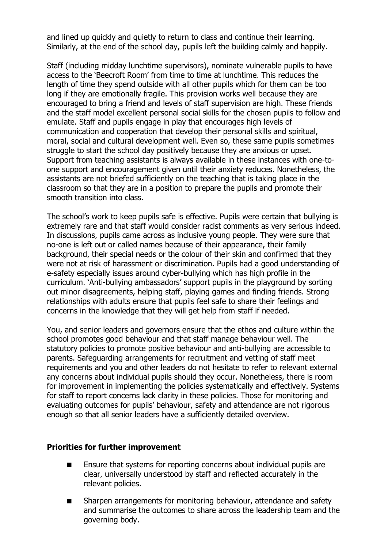and lined up quickly and quietly to return to class and continue their learning. Similarly, at the end of the school day, pupils left the building calmly and happily.

Staff (including midday lunchtime supervisors), nominate vulnerable pupils to have access to the 'Beecroft Room' from time to time at lunchtime. This reduces the length of time they spend outside with all other pupils which for them can be too long if they are emotionally fragile. This provision works well because they are encouraged to bring a friend and levels of staff supervision are high. These friends and the staff model excellent personal social skills for the chosen pupils to follow and emulate. Staff and pupils engage in play that encourages high levels of communication and cooperation that develop their personal skills and spiritual, moral, social and cultural development well. Even so, these same pupils sometimes struggle to start the school day positively because they are anxious or upset. Support from teaching assistants is always available in these instances with one-toone support and encouragement given until their anxiety reduces. Nonetheless, the assistants are not briefed sufficiently on the teaching that is taking place in the classroom so that they are in a position to prepare the pupils and promote their smooth transition into class.

The school's work to keep pupils safe is effective. Pupils were certain that bullying is extremely rare and that staff would consider racist comments as very serious indeed. In discussions, pupils came across as inclusive young people. They were sure that no-one is left out or called names because of their appearance, their family background, their special needs or the colour of their skin and confirmed that they were not at risk of harassment or discrimination. Pupils had a good understanding of e-safety especially issues around cyber-bullying which has high profile in the curriculum. 'Anti-bullying ambassadors' support pupils in the playground by sorting out minor disagreements, helping staff, playing games and finding friends. Strong relationships with adults ensure that pupils feel safe to share their feelings and concerns in the knowledge that they will get help from staff if needed.

You, and senior leaders and governors ensure that the ethos and culture within the school promotes good behaviour and that staff manage behaviour well. The statutory policies to promote positive behaviour and anti-bullying are accessible to parents. Safeguarding arrangements for recruitment and vetting of staff meet requirements and you and other leaders do not hesitate to refer to relevant external any concerns about individual pupils should they occur. Nonetheless, there is room for improvement in implementing the policies systematically and effectively. Systems for staff to report concerns lack clarity in these policies. Those for monitoring and evaluating outcomes for pupils' behaviour, safety and attendance are not rigorous enough so that all senior leaders have a sufficiently detailed overview.

### **Priorities for further improvement**

- Ensure that systems for reporting concerns about individual pupils are clear, universally understood by staff and reflected accurately in the relevant policies.
- Sharpen arrangements for monitoring behaviour, attendance and safety and summarise the outcomes to share across the leadership team and the governing body.